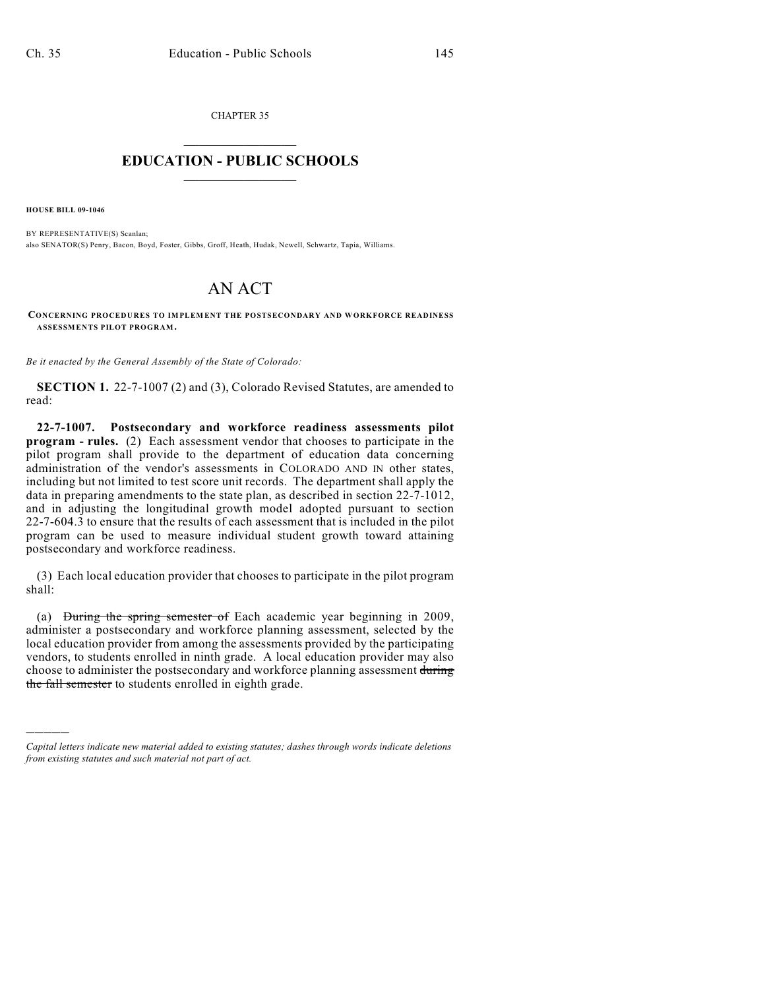CHAPTER 35  $\overline{\phantom{a}}$  . The set of the set of the set of the set of the set of the set of the set of the set of the set of the set of the set of the set of the set of the set of the set of the set of the set of the set of the set o

## **EDUCATION - PUBLIC SCHOOLS**  $\_$   $\_$   $\_$   $\_$   $\_$   $\_$   $\_$   $\_$   $\_$

**HOUSE BILL 09-1046**

)))))

BY REPRESENTATIVE(S) Scanlan; also SENATOR(S) Penry, Bacon, Boyd, Foster, Gibbs, Groff, Heath, Hudak, Newell, Schwartz, Tapia, Williams.

## AN ACT

**CONCERNING PROCEDURES TO IMPLEMENT THE POSTSECONDARY AND WORKFORCE READINESS ASSESSMENTS PILOT PROGRAM.**

*Be it enacted by the General Assembly of the State of Colorado:*

**SECTION 1.** 22-7-1007 (2) and (3), Colorado Revised Statutes, are amended to read:

**22-7-1007. Postsecondary and workforce readiness assessments pilot program - rules.** (2) Each assessment vendor that chooses to participate in the pilot program shall provide to the department of education data concerning administration of the vendor's assessments in COLORADO AND IN other states, including but not limited to test score unit records. The department shall apply the data in preparing amendments to the state plan, as described in section 22-7-1012, and in adjusting the longitudinal growth model adopted pursuant to section 22-7-604.3 to ensure that the results of each assessment that is included in the pilot program can be used to measure individual student growth toward attaining postsecondary and workforce readiness.

(3) Each local education provider that chooses to participate in the pilot program shall:

(a) During the spring semester of Each academic year beginning in 2009, administer a postsecondary and workforce planning assessment, selected by the local education provider from among the assessments provided by the participating vendors, to students enrolled in ninth grade. A local education provider may also choose to administer the postsecondary and workforce planning assessment during the fall semester to students enrolled in eighth grade.

*Capital letters indicate new material added to existing statutes; dashes through words indicate deletions from existing statutes and such material not part of act.*